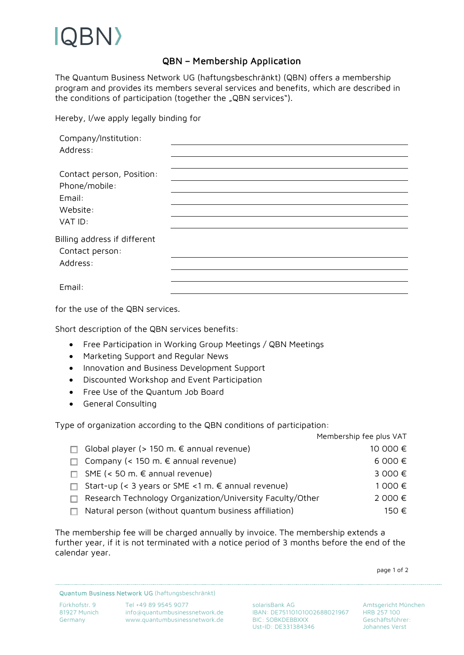## BN)

## QBN – Membership Application

The Quantum Business Network UG (haftungsbeschränkt) (QBN) offers a membership program and provides its members several services and benefits, which are described in the conditions of participation (together the "QBN services").

Hereby, I/we apply legally binding for

| Company/Institution:         |  |  |
|------------------------------|--|--|
| Address:                     |  |  |
|                              |  |  |
| Contact person, Position:    |  |  |
| Phone/mobile:                |  |  |
| Email:                       |  |  |
| Website:                     |  |  |
| VAT ID:                      |  |  |
| Billing address if different |  |  |
| Contact person:              |  |  |
| Address:                     |  |  |
|                              |  |  |
| Email:                       |  |  |
|                              |  |  |

for the use of the QBN services.

Short description of the QBN services benefits:

- Free Participation in Working Group Meetings / QBN Meetings
- Marketing Support and Regular News
- Innovation and Business Development Support
- Discounted Workshop and Event Participation
- Free Use of the Quantum Job Board
- General Consulting

Type of organization according to the QBN conditions of participation:

|    |                                                           | Membership fee plus VAT |
|----|-----------------------------------------------------------|-------------------------|
|    | Global player (> 150 m. $∈$ annual revenue)               | 10 000 €                |
|    | $\Box$ Company (< 150 m. $\epsilon$ annual revenue)       | 6000 €                  |
| п. | SME (< 50 m. € annual revenue)                            | 3000€                   |
|    | Start-up (< 3 years or SME < 1 m. € annual revenue)       | 1 000 €                 |
|    | Research Technology Organization/University Faculty/Other | 2000€                   |
|    | Natural person (without quantum business affiliation)     | 150 €                   |

The membership fee will be charged annually by invoice. The membership extends a further year, if it is not terminated with a notice period of 3 months before the end of the calendar year.

page 1 of 2

Quantum Business Network UG (haftungsbeschränkt)

Fürkhofstr. 9 Tel +49 89 9545 9077 solarisBank AG Amtsgericht München 81927 Munich info@quantumbusinessnetwork.de IBAN: DE75110101002688021967 HRB 257 100 Germany www.quantumbusinessnetwork.de BIC: SOBKDEBBXXX Geschäftsführer:<br>Ust-ID: DE331384346 Johannes Verst Ust-ID: DE331384346